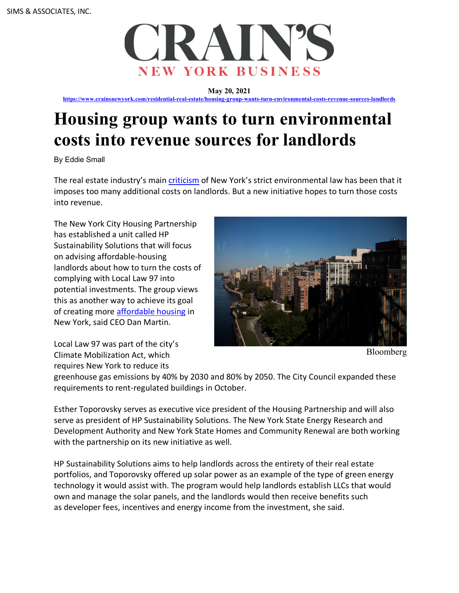

**May 20, 2021**

**https://www.crainsnewyork.com/residential-real-estate/housing-group-wants-turn-environmental-costs-revenue-sources-landlords**

## **Housing group wants to turn environmental costs into revenue sources for landlords**

By Eddie Small

The real estate industry's main criticism of New York's strict environmental law has been that it imposes too many additional costs on landlords. But a new initiative hopes to turn those costs into revenue.

The New York City Housing Partnership has established a unit called HP Sustainability Solutions that will focus on advising affordable-housing landlords about how to turn the costs of complying with Local Law 97 into potential investments. The group views this as another way to achieve its goal of creating more affordable housing in New York, said CEO Dan Martin.



Bloomberg

Local Law 97 was part of the city's Climate Mobilization Act, which requires New York to reduce its

greenhouse gas emissions by 40% by 2030 and 80% by 2050. The City Council expanded these requirements to rent-regulated buildings in October.

Esther Toporovsky serves as executive vice president of the Housing Partnership and will also serve as president of HP Sustainability Solutions. The New York State Energy Research and Development Authority and New York State Homes and Community Renewal are both working with the partnership on its new initiative as well.

HP Sustainability Solutions aims to help landlords across the entirety of their real estate portfolios, and Toporovsky offered up solar power as an example of the type of green energy technology it would assist with. The program would help landlords establish LLCs that would own and manage the solar panels, and the landlords would then receive benefits such as developer fees, incentives and energy income from the investment, she said.